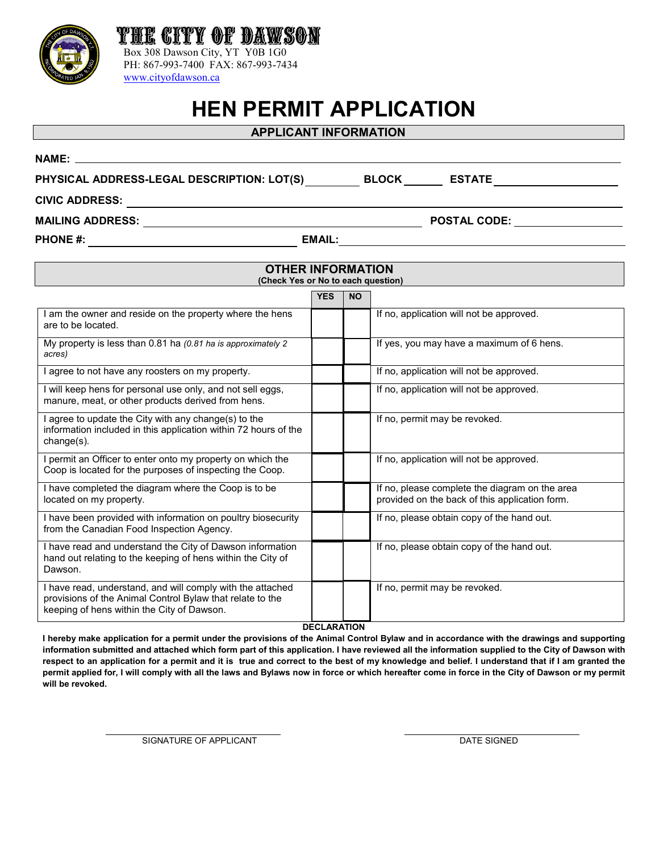

# **APPLICANT INFORMATION**

PHYSICAL ADDRESS-LEGAL DESCRIPTION: LOT(S) **BLOCK** \_\_\_\_\_\_\_ ESTATE

[www.cityofdawson.ca](http://www.cityofdawson.ca/) 

Box 308 Dawson City, YT Y0B 1G0 PH: 867-993-7400 FAX: 867-993-7434

THE CITY OF DAWS

**CIVIC ADDRESS:** 

**MAILING ADDRESS: POSTAL CODE:**

**PHONE #: EMAIL:**

**NAME:** 

| <b>OTHER INFORMATION</b><br>(Check Yes or No to each question)                                                                                                        |            |           |                                                                                                  |
|-----------------------------------------------------------------------------------------------------------------------------------------------------------------------|------------|-----------|--------------------------------------------------------------------------------------------------|
|                                                                                                                                                                       | <b>YES</b> | <b>NO</b> |                                                                                                  |
| I am the owner and reside on the property where the hens<br>are to be located.                                                                                        |            |           | If no, application will not be approved.                                                         |
| My property is less than 0.81 ha (0.81 ha is approximately 2<br>acres)                                                                                                |            |           | If yes, you may have a maximum of 6 hens.                                                        |
| I agree to not have any roosters on my property.                                                                                                                      |            |           | If no, application will not be approved.                                                         |
| I will keep hens for personal use only, and not sell eggs,<br>manure, meat, or other products derived from hens.                                                      |            |           | If no, application will not be approved.                                                         |
| I agree to update the City with any change(s) to the<br>information included in this application within 72 hours of the<br>$change(s)$ .                              |            |           | If no, permit may be revoked.                                                                    |
| I permit an Officer to enter onto my property on which the<br>Coop is located for the purposes of inspecting the Coop.                                                |            |           | If no, application will not be approved.                                                         |
| I have completed the diagram where the Coop is to be<br>located on my property.                                                                                       |            |           | If no, please complete the diagram on the area<br>provided on the back of this application form. |
| I have been provided with information on poultry biosecurity<br>from the Canadian Food Inspection Agency.                                                             |            |           | If no, please obtain copy of the hand out.                                                       |
| I have read and understand the City of Dawson information<br>hand out relating to the keeping of hens within the City of<br>Dawson.                                   |            |           | If no, please obtain copy of the hand out.                                                       |
| I have read, understand, and will comply with the attached<br>provisions of the Animal Control Bylaw that relate to the<br>keeping of hens within the City of Dawson. |            |           | If no, permit may be revoked.                                                                    |
| <b>DECLARATION</b>                                                                                                                                                    |            |           |                                                                                                  |

**I hereby make application for a permit under the provisions of the Animal Control Bylaw and in accordance with the drawings and supporting information submitted and attached which form part of this application. I have reviewed all the information supplied to the City of Dawson with respect to an application for a permit and it is true and correct to the best of my knowledge and belief. I understand that if I am granted the permit applied for, I will comply with all the laws and Bylaws now in force or which hereafter come in force in the City of Dawson or my permit will be revoked.** 

SIGNATURE OF APPLICANT **Example 20 and SIGNATURE OF APPLICANT** 

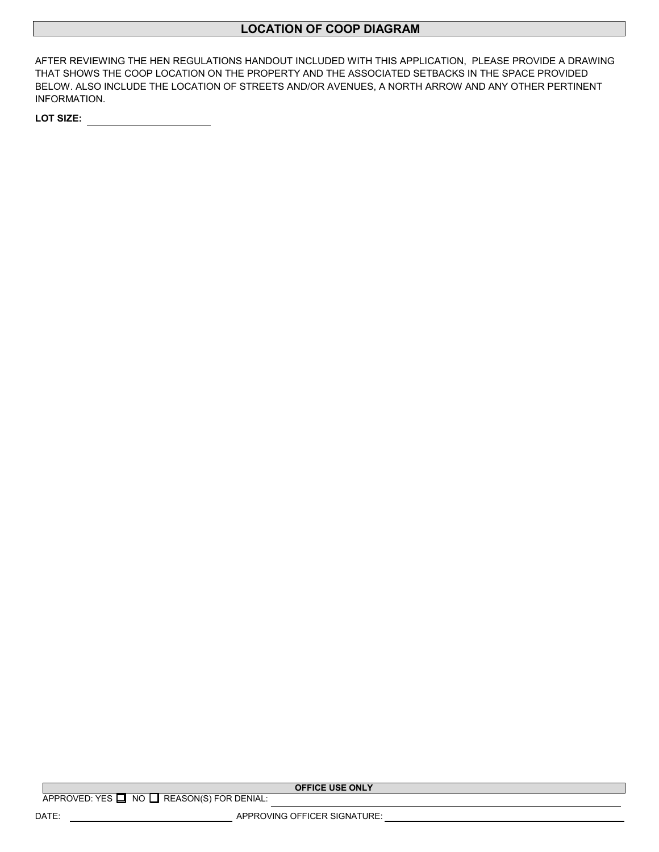# **LOCATION OF COOP DIAGRAM**

AFTER REVIEWING THE HEN REGULATIONS HANDOUT INCLUDED WITH THIS APPLICATION, PLEASE PROVIDE A DRAWING THAT SHOWS THE COOP LOCATION ON THE PROPERTY AND THE ASSOCIATED SETBACKS IN THE SPACE PROVIDED BELOW. ALSO INCLUDE THE LOCATION OF STREETS AND/OR AVENUES, A NORTH ARROW AND ANY OTHER PERTINENT INFORMATION.

**LOT SIZE:** 

**OFFICE USE ONLY**

DATE: APPROVING OFFICER SIGNATURE: